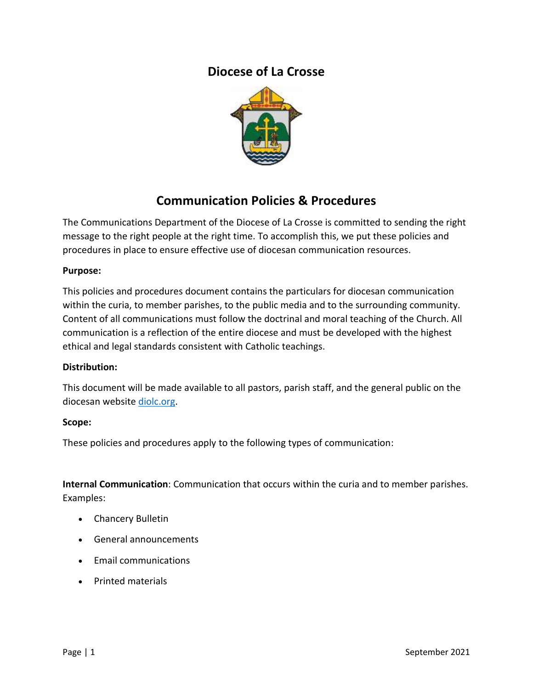# **Diocese of La Crosse**



# **Communication Policies & Procedures**

The Communications Department of the Diocese of La Crosse is committed to sending the right message to the right people at the right time. To accomplish this, we put these policies and procedures in place to ensure effective use of diocesan communication resources.

### **Purpose:**

This policies and procedures document contains the particulars for diocesan communication within the curia, to member parishes, to the public media and to the surrounding community. Content of all communications must follow the doctrinal and moral teaching of the Church. All communication is a reflection of the entire diocese and must be developed with the highest ethical and legal standards consistent with Catholic teachings.

#### **Distribution:**

This document will be made available to all pastors, parish staff, and the general public on the diocesan website [diolc.org.](https://diolc.org/)

#### **Scope:**

These policies and procedures apply to the following types of communication:

**Internal Communication**: Communication that occurs within the curia and to member parishes. Examples:

- Chancery Bulletin
- General announcements
- Email communications
- Printed materials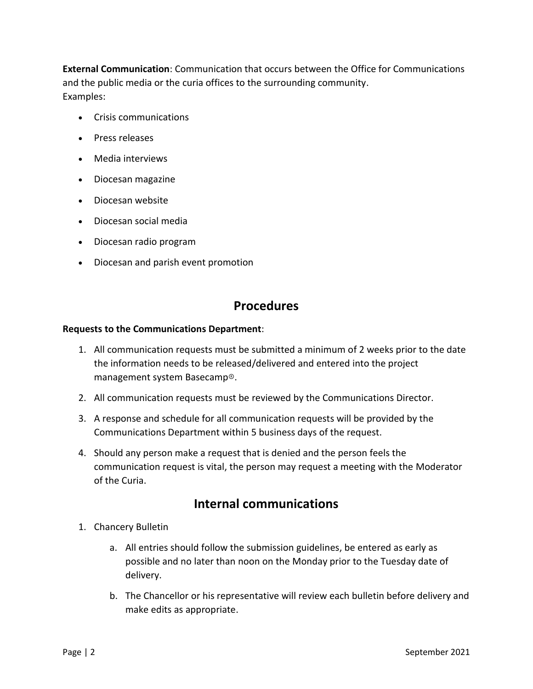**External Communication**: Communication that occurs between the Office for Communications and the public media or the curia offices to the surrounding community. Examples:

- Crisis communications
- Press releases
- Media interviews
- Diocesan magazine
- Diocesan website
- Diocesan social media
- Diocesan radio program
- Diocesan and parish event promotion

## **Procedures**

#### **Requests to the Communications Department**:

- 1. All communication requests must be submitted a minimum of 2 weeks prior to the date the information needs to be released/delivered and entered into the project management system Basecamp®.
- 2. All communication requests must be reviewed by the Communications Director.
- 3. A response and schedule for all communication requests will be provided by the Communications Department within 5 business days of the request.
- 4. Should any person make a request that is denied and the person feels the communication request is vital, the person may request a meeting with the Moderator of the Curia.

# **Internal communications**

- 1. Chancery Bulletin
	- a. All entries should follow the submission guidelines, be entered as early as possible and no later than noon on the Monday prior to the Tuesday date of delivery.
	- b. The Chancellor or his representative will review each bulletin before delivery and make edits as appropriate.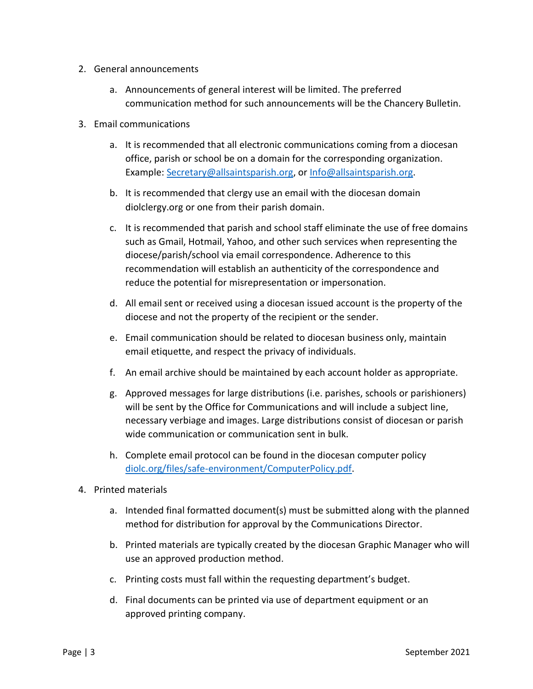- 2. General announcements
	- a. Announcements of general interest will be limited. The preferred communication method for such announcements will be the Chancery Bulletin.
- 3. Email communications
	- a. It is recommended that all electronic communications coming from a diocesan office, parish or school be on a domain for the corresponding organization. Example: [Secretary@allsaintsparish.org,](mailto:Secretary@allsaintsparish.org) or [Info@allsaintsparish.org.](mailto:Info@allsaintsparish.org)
	- b. It is recommended that clergy use an email with the diocesan domain diolclergy.org or one from their parish domain.
	- c. It is recommended that parish and school staff eliminate the use of free domains such as Gmail, Hotmail, Yahoo, and other such services when representing the diocese/parish/school via email correspondence. Adherence to this recommendation will establish an authenticity of the correspondence and reduce the potential for misrepresentation or impersonation.
	- d. All email sent or received using a diocesan issued account is the property of the diocese and not the property of the recipient or the sender.
	- e. Email communication should be related to diocesan business only, maintain email etiquette, and respect the privacy of individuals.
	- f. An email archive should be maintained by each account holder as appropriate.
	- g. Approved messages for large distributions (i.e. parishes, schools or parishioners) will be sent by the Office for Communications and will include a subject line, necessary verbiage and images. Large distributions consist of diocesan or parish wide communication or communication sent in bulk.
	- h. Complete email protocol can be found in the diocesan computer policy [diolc.org/files/safe-environment/ComputerPolicy.pdf.](https://diolc.org/files/safe-environment/ComputerPolicy.pdf)
- 4. Printed materials
	- a. Intended final formatted document(s) must be submitted along with the planned method for distribution for approval by the Communications Director.
	- b. Printed materials are typically created by the diocesan Graphic Manager who will use an approved production method.
	- c. Printing costs must fall within the requesting department's budget.
	- d. Final documents can be printed via use of department equipment or an approved printing company.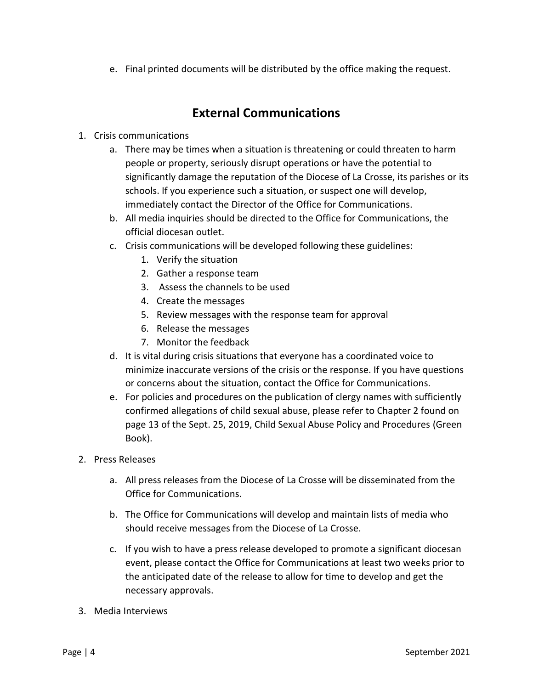e. Final printed documents will be distributed by the office making the request.

# **External Communications**

## 1. Crisis communications

- a. There may be times when a situation is threatening or could threaten to harm people or property, seriously disrupt operations or have the potential to significantly damage the reputation of the Diocese of La Crosse, its parishes or its schools. If you experience such a situation, or suspect one will develop, immediately contact the Director of the Office for Communications.
- b. All media inquiries should be directed to the Office for Communications, the official diocesan outlet.
- c. Crisis communications will be developed following these guidelines:
	- 1. Verify the situation
	- 2. Gather a response team
	- 3. Assess the channels to be used
	- 4. Create the messages
	- 5. Review messages with the response team for approval
	- 6. Release the messages
	- 7. Monitor the feedback
- d. It is vital during crisis situations that everyone has a coordinated voice to minimize inaccurate versions of the crisis or the response. If you have questions or concerns about the situation, contact the Office for Communications.
- e. For policies and procedures on the publication of clergy names with sufficiently confirmed allegations of child sexual abuse, please refer to Chapter 2 found on page 13 of the Sept. 25, 2019, Child Sexual Abuse Policy and Procedures (Green Book).
- 2. Press Releases
	- a. All press releases from the Diocese of La Crosse will be disseminated from the Office for Communications.
	- b. The Office for Communications will develop and maintain lists of media who should receive messages from the Diocese of La Crosse.
	- c. If you wish to have a press release developed to promote a significant diocesan event, please contact the Office for Communications at least two weeks prior to the anticipated date of the release to allow for time to develop and get the necessary approvals.
- 3. Media Interviews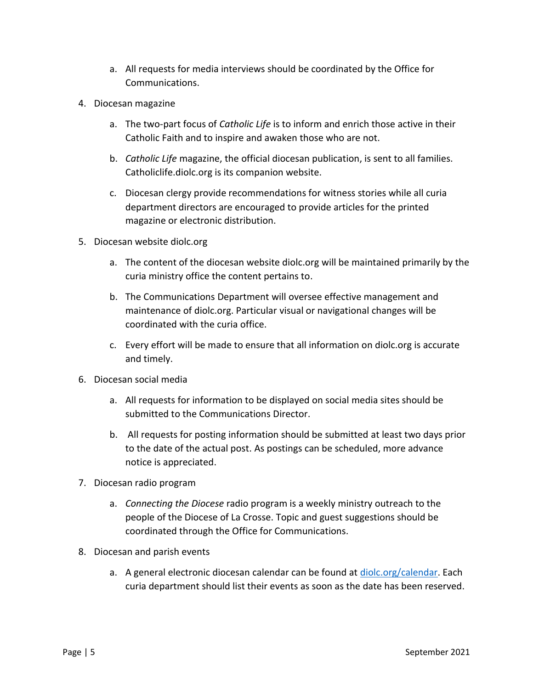- a. All requests for media interviews should be coordinated by the Office for Communications.
- 4. Diocesan magazine
	- a. The two-part focus of *Catholic Life* is to inform and enrich those active in their Catholic Faith and to inspire and awaken those who are not.
	- b. *Catholic Life* magazine, the official diocesan publication, is sent to all families. Catholiclife.diolc.org is its companion website.
	- c. Diocesan clergy provide recommendations for witness stories while all curia department directors are encouraged to provide articles for the printed magazine or electronic distribution.
- 5. Diocesan website diolc.org
	- a. The content of the diocesan website diolc.org will be maintained primarily by the curia ministry office the content pertains to.
	- b. The Communications Department will oversee effective management and maintenance of diolc.org. Particular visual or navigational changes will be coordinated with the curia office.
	- c. Every effort will be made to ensure that all information on diolc.org is accurate and timely.
- 6. Diocesan social media
	- a. All requests for information to be displayed on social media sites should be submitted to the Communications Director.
	- b. All requests for posting information should be submitted at least two days prior to the date of the actual post. As postings can be scheduled, more advance notice is appreciated.
- 7. Diocesan radio program
	- a. *Connecting the Diocese* radio program is a weekly ministry outreach to the people of the Diocese of La Crosse. Topic and guest suggestions should be coordinated through the Office for Communications.
- 8. Diocesan and parish events
	- a. A general electronic diocesan calendar can be found at [diolc.org/calendar.](https://diolc.org/calendar) Each curia department should list their events as soon as the date has been reserved.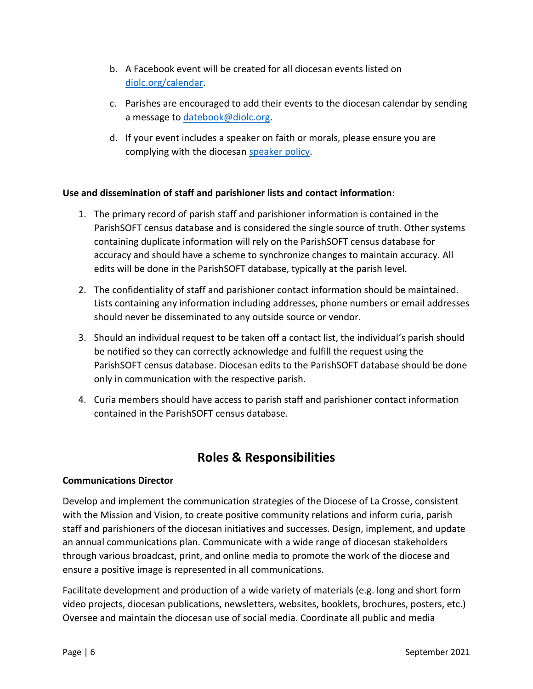- b. A Facebook event will be created for all diocesan events listed on [diolc.org/calendar.](https://diolc.org/calendar)
- c. Parishes are encouraged to add their events to the diocesan calendar by sending a message to [datebook@diolc.org.](mailto:datebook@diolc.org)
- d. If your event includes a speaker on faith or morals, please ensure you are complying with the diocesan [speaker policy.](https://diolc.org/chancery/speaker-policy/)

### **Use and dissemination of staff and parishioner lists and contact information**:

- 1. The primary record of parish staff and parishioner information is contained in the ParishSOFT census database and is considered the single source of truth. Other systems containing duplicate information will rely on the ParishSOFT census database for accuracy and should have a scheme to synchronize changes to maintain accuracy. All edits will be done in the ParishSOFT database, typically at the parish level.
- 2. The confidentiality of staff and parishioner contact information should be maintained. Lists containing any information including addresses, phone numbers or email addresses should never be disseminated to any outside source or vendor.
- 3. Should an individual request to be taken off a contact list, the individual's parish should be notified so they can correctly acknowledge and fulfill the request using the ParishSOFT census database. Diocesan edits to the ParishSOFT database should be done only in communication with the respective parish.
- 4. Curia members should have access to parish staff and parishioner contact information contained in the ParishSOFT census database.

# **Roles & Responsibilities**

### **Communications Director**

Develop and implement the communication strategies of the Diocese of La Crosse, consistent with the Mission and Vision, to create positive community relations and inform curia, parish staff and parishioners of the diocesan initiatives and successes. Design, implement, and update an annual communications plan. Communicate with a wide range of diocesan stakeholders through various broadcast, print, and online media to promote the work of the diocese and ensure a positive image is represented in all communications.

Facilitate development and production of a wide variety of materials (e.g. long and short form video projects, diocesan publications, newsletters, websites, booklets, brochures, posters, etc.) Oversee and maintain the diocesan use of social media. Coordinate all public and media